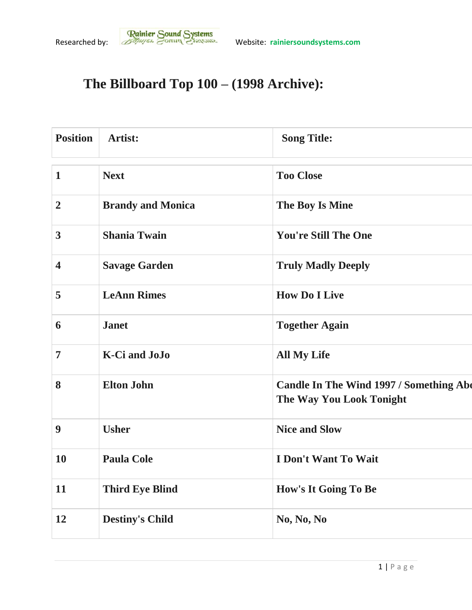## **The Billboard Top 100 – (1998 Archive):**

| <b>Position</b>         | <b>Artist:</b>           | <b>Song Title:</b>                                                                |
|-------------------------|--------------------------|-----------------------------------------------------------------------------------|
| $\mathbf{1}$            | <b>Next</b>              | <b>Too Close</b>                                                                  |
| $\overline{2}$          | <b>Brandy and Monica</b> | The Boy Is Mine                                                                   |
| $\mathbf{3}$            | <b>Shania Twain</b>      | <b>You're Still The One</b>                                                       |
| $\overline{\mathbf{4}}$ | <b>Savage Garden</b>     | <b>Truly Madly Deeply</b>                                                         |
| 5                       | <b>LeAnn Rimes</b>       | <b>How Do I Live</b>                                                              |
| 6                       | <b>Janet</b>             | <b>Together Again</b>                                                             |
| $\overline{7}$          | <b>K-Ci</b> and JoJo     | <b>All My Life</b>                                                                |
| 8                       | <b>Elton John</b>        | <b>Candle In The Wind 1997 / Something Abo</b><br><b>The Way You Look Tonight</b> |
| 9                       | <b>Usher</b>             | <b>Nice and Slow</b>                                                              |
| 10                      | <b>Paula Cole</b>        | I Don't Want To Wait                                                              |
| 11                      | <b>Third Eye Blind</b>   | How's It Going To Be                                                              |
| 12                      | <b>Destiny's Child</b>   | No, No, No                                                                        |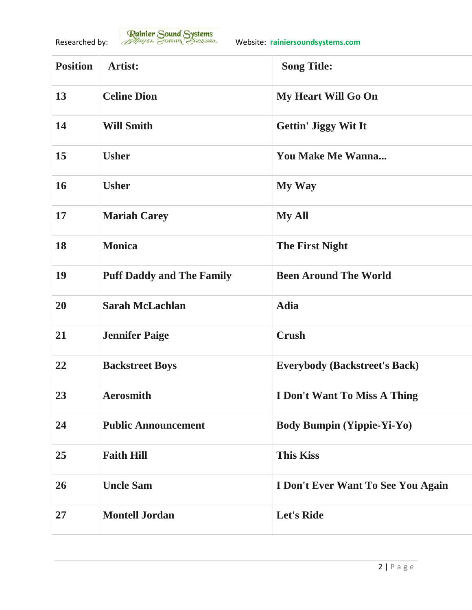| <b>Position</b> | Artist:                          | <b>Song Title:</b>                   |
|-----------------|----------------------------------|--------------------------------------|
| 13              | <b>Celine Dion</b>               | My Heart Will Go On                  |
| 14              | <b>Will Smith</b>                | <b>Gettin' Jiggy Wit It</b>          |
| 15              | <b>Usher</b>                     | <b>You Make Me Wanna</b>             |
| 16              | <b>Usher</b>                     | My Way                               |
| 17              | <b>Mariah Carey</b>              | <b>My All</b>                        |
| 18              | <b>Monica</b>                    | <b>The First Night</b>               |
| 19              | <b>Puff Daddy and The Family</b> | <b>Been Around The World</b>         |
| 20              | <b>Sarah McLachlan</b>           | <b>Adia</b>                          |
| 21              | <b>Jennifer Paige</b>            | <b>Crush</b>                         |
| 22              | <b>Backstreet Boys</b>           | <b>Everybody (Backstreet's Back)</b> |
| 23              | <b>Aerosmith</b>                 | <b>I Don't Want To Miss A Thing</b>  |
| 24              | <b>Public Announcement</b>       | <b>Body Bumpin (Yippie-Yi-Yo)</b>    |
| 25              | <b>Faith Hill</b>                | <b>This Kiss</b>                     |
| 26              | <b>Uncle Sam</b>                 | I Don't Ever Want To See You Again   |
| 27              | <b>Montell Jordan</b>            | <b>Let's Ride</b>                    |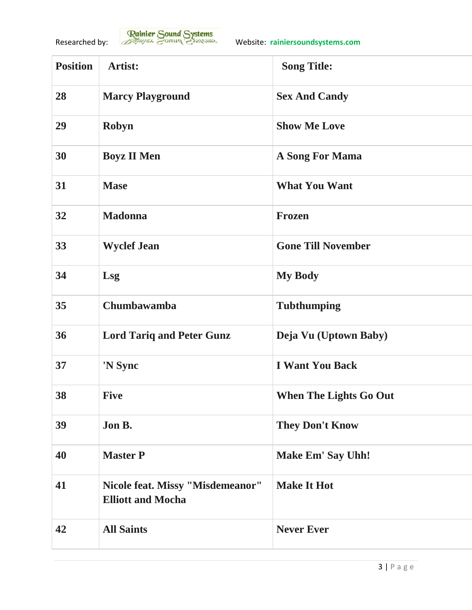| <b>Position</b> | <b>Artist:</b>                                               | <b>Song Title:</b>            |
|-----------------|--------------------------------------------------------------|-------------------------------|
| 28              | <b>Marcy Playground</b>                                      | <b>Sex And Candy</b>          |
| 29              | Robyn                                                        | <b>Show Me Love</b>           |
| 30              | <b>Boyz II Men</b>                                           | <b>A Song For Mama</b>        |
| 31              | <b>Mase</b>                                                  | <b>What You Want</b>          |
| 32              | <b>Madonna</b>                                               | <b>Frozen</b>                 |
| 33              | <b>Wyclef Jean</b>                                           | <b>Gone Till November</b>     |
| 34              | Lsg                                                          | <b>My Body</b>                |
| 35              | Chumbawamba                                                  | <b>Tubthumping</b>            |
| 36              | <b>Lord Tariq and Peter Gunz</b>                             | Deja Vu (Uptown Baby)         |
| 37              | 'N Sync                                                      | <b>I Want You Back</b>        |
| 38              | <b>Five</b>                                                  | <b>When The Lights Go Out</b> |
| 39              | Jon B.                                                       | <b>They Don't Know</b>        |
| 40              | <b>Master P</b>                                              | <b>Make Em' Say Uhh!</b>      |
| 41              | Nicole feat. Missy "Misdemeanor"<br><b>Elliott and Mocha</b> | <b>Make It Hot</b>            |
| 42              | <b>All Saints</b>                                            | <b>Never Ever</b>             |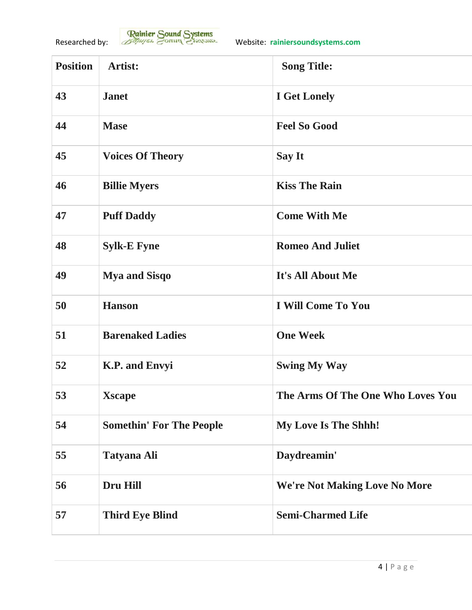| <b>Position</b> | Artist:                         | <b>Song Title:</b>                   |
|-----------------|---------------------------------|--------------------------------------|
| 43              | <b>Janet</b>                    | <b>I</b> Get Lonely                  |
| 44              | <b>Mase</b>                     | <b>Feel So Good</b>                  |
| 45              | <b>Voices Of Theory</b>         | <b>Say It</b>                        |
| 46              | <b>Billie Myers</b>             | <b>Kiss The Rain</b>                 |
| 47              | <b>Puff Daddy</b>               | <b>Come With Me</b>                  |
| 48              | <b>Sylk-E Fyne</b>              | <b>Romeo And Juliet</b>              |
| 49              | <b>Mya and Sisqo</b>            | It's All About Me                    |
| 50              | <b>Hanson</b>                   | I Will Come To You                   |
| 51              | <b>Barenaked Ladies</b>         | <b>One Week</b>                      |
| 52              | <b>K.P.</b> and Envyi           | <b>Swing My Way</b>                  |
| 53              | <b>Xscape</b>                   | The Arms Of The One Who Loves You    |
| 54              | <b>Somethin' For The People</b> | <b>My Love Is The Shhh!</b>          |
| 55              | <b>Tatyana Ali</b>              | Daydreamin'                          |
| 56              | Dru Hill                        | <b>We're Not Making Love No More</b> |
| 57              | <b>Third Eye Blind</b>          | <b>Semi-Charmed Life</b>             |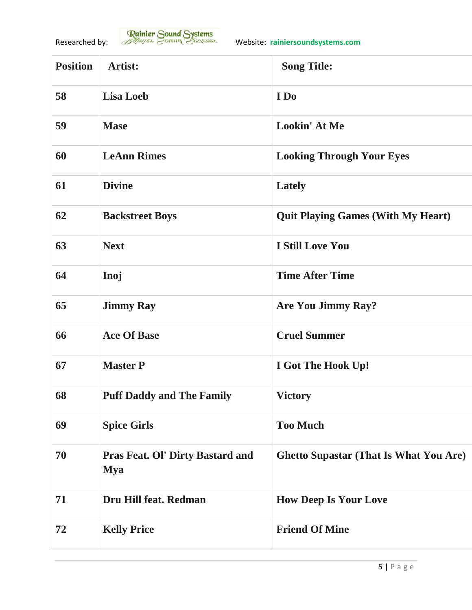| <b>Position</b> | <b>Artist:</b>                                        | <b>Song Title:</b>                            |
|-----------------|-------------------------------------------------------|-----------------------------------------------|
| 58              | <b>Lisa Loeb</b>                                      | I Do                                          |
| 59              | <b>Mase</b>                                           | <b>Lookin' At Me</b>                          |
| 60              | <b>LeAnn Rimes</b>                                    | <b>Looking Through Your Eyes</b>              |
| 61              | <b>Divine</b>                                         | Lately                                        |
| 62              | <b>Backstreet Boys</b>                                | <b>Quit Playing Games (With My Heart)</b>     |
| 63              | <b>Next</b>                                           | <b>I Still Love You</b>                       |
| 64              | Inoj                                                  | <b>Time After Time</b>                        |
| 65              | <b>Jimmy Ray</b>                                      | <b>Are You Jimmy Ray?</b>                     |
| 66              | <b>Ace Of Base</b>                                    | <b>Cruel Summer</b>                           |
| 67              | <b>Master P</b>                                       | I Got The Hook Up!                            |
| 68              | <b>Puff Daddy and The Family</b>                      | <b>Victory</b>                                |
| 69              | <b>Spice Girls</b>                                    | <b>Too Much</b>                               |
| 70              | <b>Pras Feat. Ol' Dirty Bastard and</b><br><b>Mya</b> | <b>Ghetto Supastar (That Is What You Are)</b> |
| 71              | Dru Hill feat. Redman                                 | <b>How Deep Is Your Love</b>                  |
| 72              | <b>Kelly Price</b>                                    | <b>Friend Of Mine</b>                         |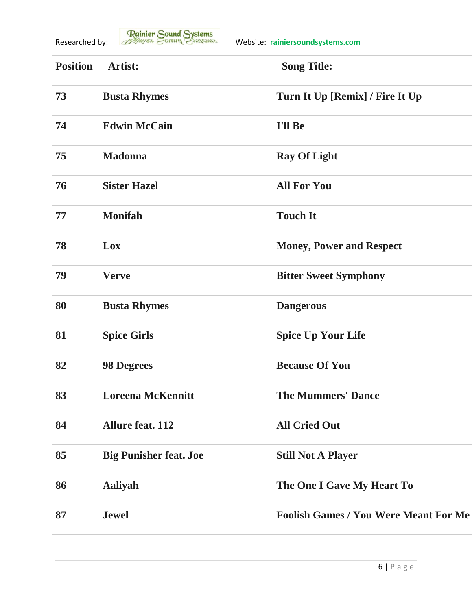| <b>Position</b> | Artist:                       | <b>Song Title:</b>                           |
|-----------------|-------------------------------|----------------------------------------------|
| 73              | <b>Busta Rhymes</b>           | Turn It Up [Remix] / Fire It Up              |
| 74              | <b>Edwin McCain</b>           | I'll Be                                      |
| 75              | <b>Madonna</b>                | <b>Ray Of Light</b>                          |
| 76              | <b>Sister Hazel</b>           | <b>All For You</b>                           |
| 77              | <b>Monifah</b>                | <b>Touch It</b>                              |
| 78              | Lox                           | <b>Money, Power and Respect</b>              |
| 79              | <b>Verve</b>                  | <b>Bitter Sweet Symphony</b>                 |
| 80              | <b>Busta Rhymes</b>           | <b>Dangerous</b>                             |
| 81              | <b>Spice Girls</b>            | <b>Spice Up Your Life</b>                    |
| 82              | <b>98 Degrees</b>             | <b>Because Of You</b>                        |
| 83              | <b>Loreena McKennitt</b>      | <b>The Mummers' Dance</b>                    |
| 84              | <b>Allure feat. 112</b>       | <b>All Cried Out</b>                         |
| 85              | <b>Big Punisher feat. Joe</b> | <b>Still Not A Player</b>                    |
| 86              | <b>Aaliyah</b>                | The One I Gave My Heart To                   |
| 87              | <b>Jewel</b>                  | <b>Foolish Games / You Were Meant For Me</b> |